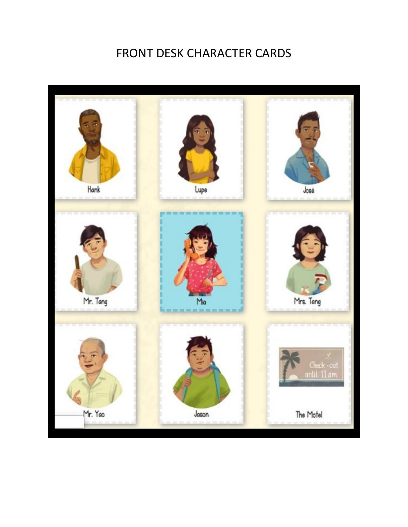## FRONT DESK CHARACTER CARDS